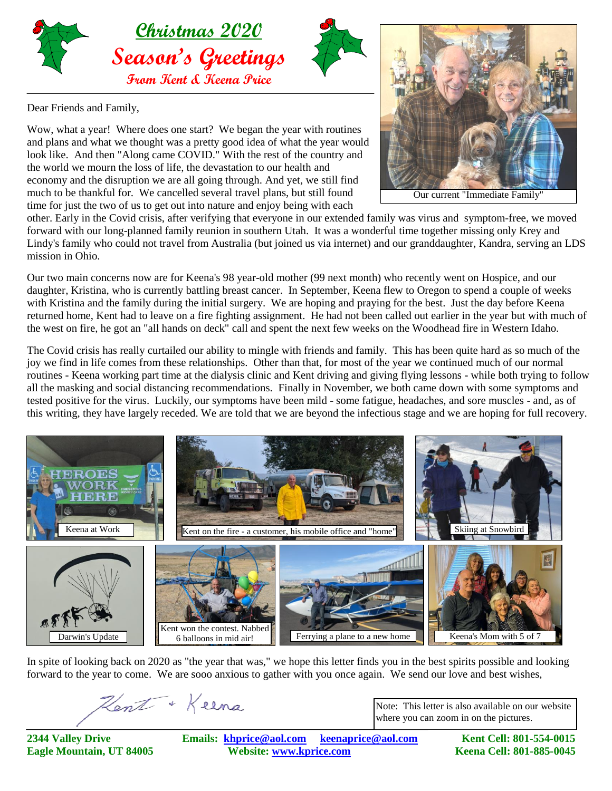

Dear Friends and Family,

Wow, what a year! Where does one start? We began the year with routines and plans and what we thought was a pretty good idea of what the year would look like. And then "Along came COVID." With the rest of the country and the world we mourn the loss of life, the devastation to our health and economy and the disruption we are all going through. And yet, we still find much to be thankful for. We cancelled several travel plans, but still found time for just the two of us to get out into nature and enjoy being with each



Our current "Immediate Family"

other. Early in the Covid crisis, after verifying that everyone in our extended family was virus and symptom-free, we moved forward with our long-planned family reunion in southern Utah. It was a wonderful time together missing only Krey and Lindy's family who could not travel from Australia (but joined us via internet) and our granddaughter, Kandra, serving an LDS mission in Ohio.

Our two main concerns now are for Keena's 98 year-old mother (99 next month) who recently went on Hospice, and our daughter, Kristina, who is currently battling breast cancer. In September, Keena flew to Oregon to spend a couple of weeks with Kristina and the family during the initial surgery. We are hoping and praying for the best. Just the day before Keena returned home, Kent had to leave on a fire fighting assignment. He had not been called out earlier in the year but with much of the west on fire, he got an "all hands on deck" call and spent the next few weeks on the Woodhead fire in Western Idaho.

The Covid crisis has really curtailed our ability to mingle with friends and family. This has been quite hard as so much of the joy we find in life comes from these relationships. Other than that, for most of the year we continued much of our normal routines - Keena working part time at the dialysis clinic and Kent driving and giving flying lessons - while both trying to follow all the masking and social distancing recommendations. Finally in November, we both came down with some symptoms and tested positive for the virus. Luckily, our symptoms have been mild - some fatigue, headaches, and sore muscles - and, as of this writing, they have largely receded. We are told that we are beyond the infectious stage and we are hoping for full recovery.



In spite of looking back on 2020 as "the year that was," we hope this letter finds you in the best spirits possible and looking forward to the year to come. We are sooo anxious to gather with you once again. We send our love and best wishes,

Hent + Keena

Note: This letter is also available on our website where you can zoom in on the pictures.

**2344 Valley Drive Emails: [khprice@aol.com keenaprice@aol.com](mailto:khprice@aol.com) Kent Cell: 801-554-0015 Eagle Mountain, UT 84005 Website: [www.kprice.com](mailto:khprice@aol.com) Keena Cell: 801-885-0045**